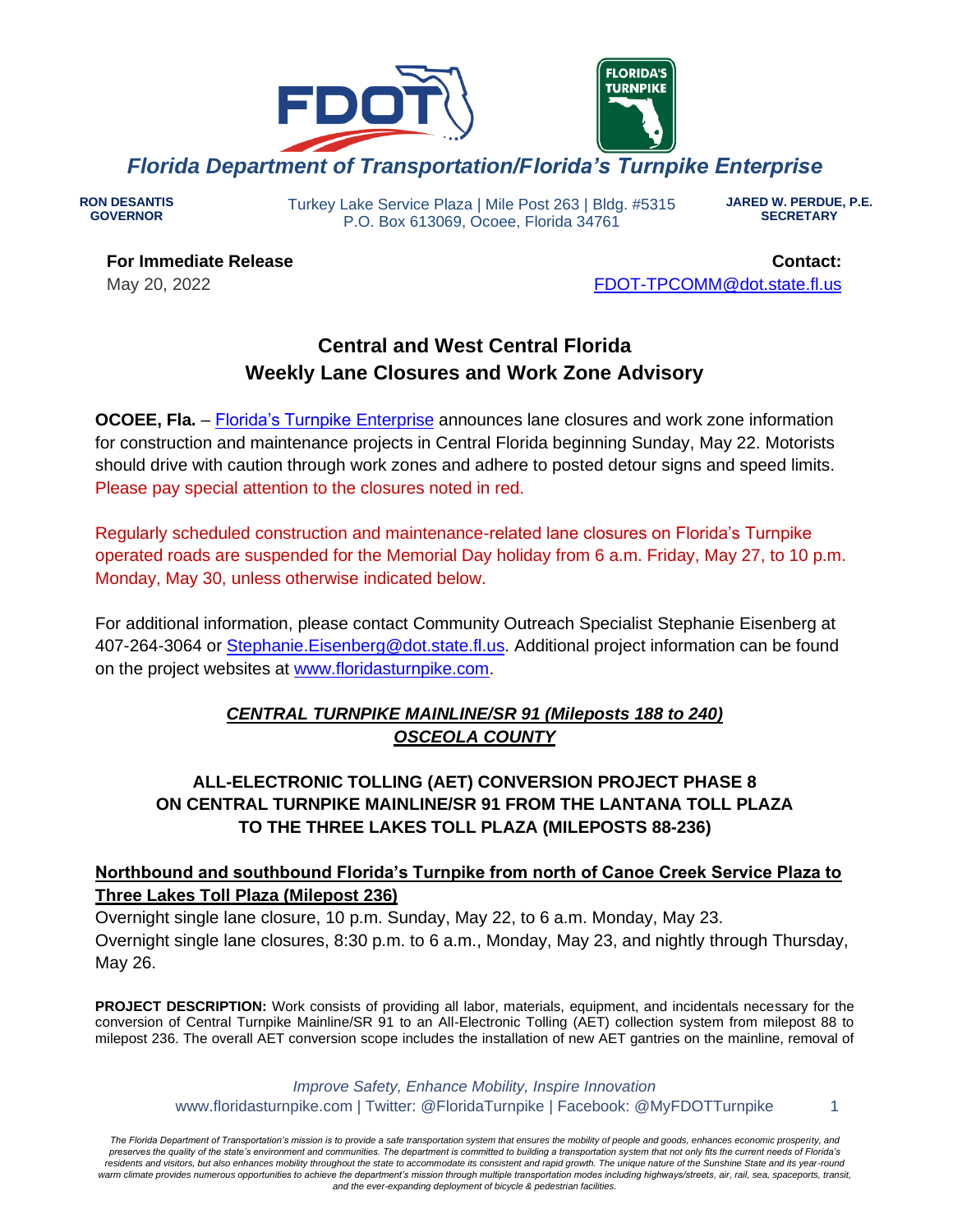

**RON DESANTIS GOVERNOR**

Turkey Lake Service Plaza | Mile Post 263 | Bldg. #5315 P.O. Box 613069, Ocoee, Florida 34761

**JARED W. PERDUE, P.E. SECRETARY**

**For Immediate Release** May 20, 2022

**Contact:** [FDOT-TPCOMM@dot.state.fl.us](mailto:fdot-tpcomm@dot.state.fl.us)

# **Central and West Central Florida Weekly Lane Closures and Work Zone Advisory**

**OCOEE, Fla.** – [Florida's Turnpike](http://www.floridasturnpike.com/) Enterprise announces lane closures and work zone information for construction and maintenance projects in Central Florida beginning Sunday, May 22. Motorists should drive with caution through work zones and adhere to posted detour signs and speed limits. Please pay special attention to the closures noted in red.

Regularly scheduled construction and maintenance-related lane closures on Florida's Turnpike operated roads are suspended for the Memorial Day holiday from 6 a.m. Friday, May 27, to 10 p.m. Monday, May 30, unless otherwise indicated below.

For additional information, please contact Community Outreach Specialist Stephanie Eisenberg at 407-264-3064 or [Stephanie.Eisenberg@dot.state.fl.us.](mailto:Stephanie.Eisenberg@dot.state.fl.us) Additional project information can be found on the project websites at [www.floridasturnpike.com.](http://www.floridasturnpike.com/)

# *CENTRAL TURNPIKE MAINLINE/SR 91 (Mileposts 188 to 240) OSCEOLA COUNTY*

**ALL-ELECTRONIC TOLLING (AET) CONVERSION PROJECT PHASE 8 ON CENTRAL TURNPIKE MAINLINE/SR 91 FROM THE LANTANA TOLL PLAZA TO THE THREE LAKES TOLL PLAZA (MILEPOSTS 88-236)**

# **Northbound and southbound Florida's Turnpike from north of Canoe Creek Service Plaza to Three Lakes Toll Plaza (Milepost 236)**

Overnight single lane closure, 10 p.m. Sunday, May 22, to 6 a.m. Monday, May 23. Overnight single lane closures, 8:30 p.m. to 6 a.m., Monday, May 23, and nightly through Thursday, May 26.

**PROJECT DESCRIPTION:** Work consists of providing all labor, materials, equipment, and incidentals necessary for the conversion of Central Turnpike Mainline/SR 91 to an All-Electronic Tolling (AET) collection system from milepost 88 to milepost 236. The overall AET conversion scope includes the installation of new AET gantries on the mainline, removal of

> *Improve Safety, Enhance Mobility, Inspire Innovation* www.floridasturnpike.com | Twitter: @FloridaTurnpike | Facebook: @MyFDOTTurnpike 1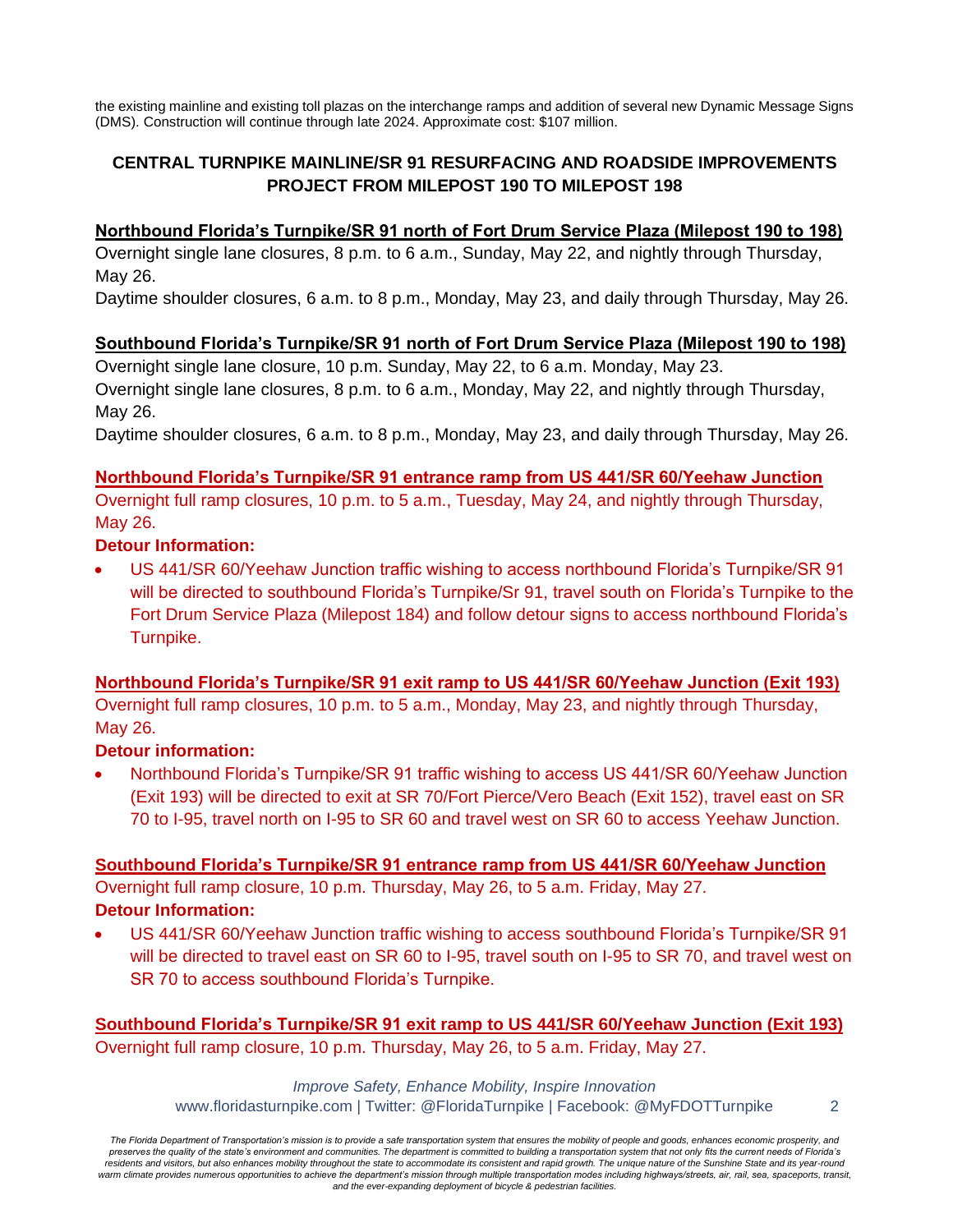the existing mainline and existing toll plazas on the interchange ramps and addition of several new Dynamic Message Signs (DMS). Construction will continue through late 2024. Approximate cost: \$107 million.

# **CENTRAL TURNPIKE MAINLINE/SR 91 RESURFACING AND ROADSIDE IMPROVEMENTS PROJECT FROM MILEPOST 190 TO MILEPOST 198**

### **Northbound Florida's Turnpike/SR 91 north of Fort Drum Service Plaza (Milepost 190 to 198)**

Overnight single lane closures, 8 p.m. to 6 a.m., Sunday, May 22, and nightly through Thursday, May 26.

Daytime shoulder closures, 6 a.m. to 8 p.m., Monday, May 23, and daily through Thursday, May 26.

### **Southbound Florida's Turnpike/SR 91 north of Fort Drum Service Plaza (Milepost 190 to 198)**

Overnight single lane closure, 10 p.m. Sunday, May 22, to 6 a.m. Monday, May 23. Overnight single lane closures, 8 p.m. to 6 a.m., Monday, May 22, and nightly through Thursday, May 26.

Daytime shoulder closures, 6 a.m. to 8 p.m., Monday, May 23, and daily through Thursday, May 26.

#### **Northbound Florida's Turnpike/SR 91 entrance ramp from US 441/SR 60/Yeehaw Junction**

Overnight full ramp closures, 10 p.m. to 5 a.m., Tuesday, May 24, and nightly through Thursday, May 26.

### **Detour Information:**

• US 441/SR 60/Yeehaw Junction traffic wishing to access northbound Florida's Turnpike/SR 91 will be directed to southbound Florida's Turnpike/Sr 91, travel south on Florida's Turnpike to the Fort Drum Service Plaza (Milepost 184) and follow detour signs to access northbound Florida's Turnpike.

#### **Northbound Florida's Turnpike/SR 91 exit ramp to US 441/SR 60/Yeehaw Junction (Exit 193)**

Overnight full ramp closures, 10 p.m. to 5 a.m., Monday, May 23, and nightly through Thursday, May 26.

# **Detour information:**

• Northbound Florida's Turnpike/SR 91 traffic wishing to access US 441/SR 60/Yeehaw Junction (Exit 193) will be directed to exit at SR 70/Fort Pierce/Vero Beach (Exit 152), travel east on SR 70 to I-95, travel north on I-95 to SR 60 and travel west on SR 60 to access Yeehaw Junction.

**Southbound Florida's Turnpike/SR 91 entrance ramp from US 441/SR 60/Yeehaw Junction** Overnight full ramp closure, 10 p.m. Thursday, May 26, to 5 a.m. Friday, May 27. **Detour Information:**

• US 441/SR 60/Yeehaw Junction traffic wishing to access southbound Florida's Turnpike/SR 91 will be directed to travel east on SR 60 to I-95, travel south on I-95 to SR 70, and travel west on SR 70 to access southbound Florida's Turnpike.

**Southbound Florida's Turnpike/SR 91 exit ramp to US 441/SR 60/Yeehaw Junction (Exit 193)** Overnight full ramp closure, 10 p.m. Thursday, May 26, to 5 a.m. Friday, May 27.

> *Improve Safety, Enhance Mobility, Inspire Innovation* www.floridasturnpike.com | Twitter: @FloridaTurnpike | Facebook: @MyFDOTTurnpike 2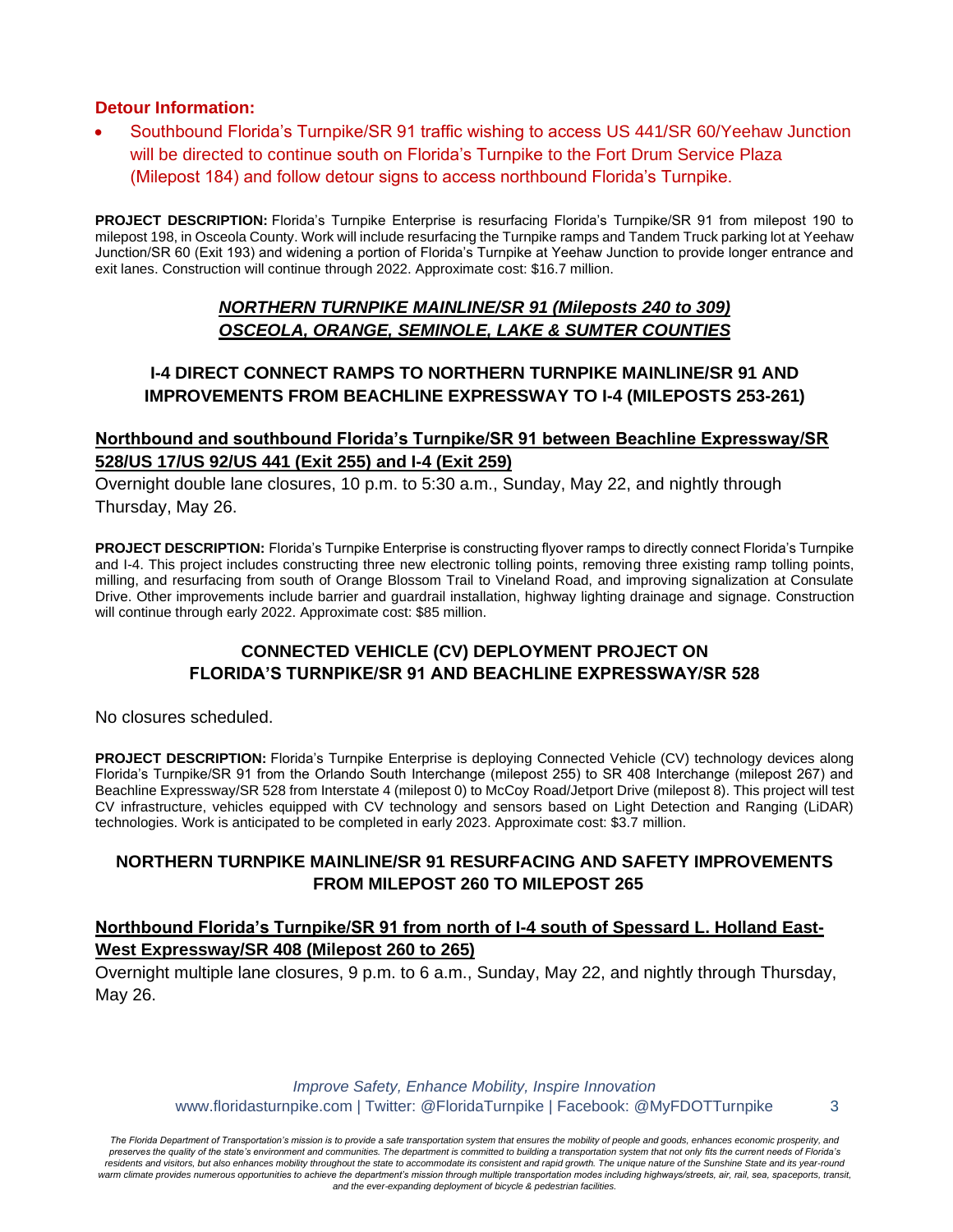#### **Detour Information:**

• Southbound Florida's Turnpike/SR 91 traffic wishing to access US 441/SR 60/Yeehaw Junction will be directed to continue south on Florida's Turnpike to the Fort Drum Service Plaza (Milepost 184) and follow detour signs to access northbound Florida's Turnpike.

**PROJECT DESCRIPTION:** Florida's Turnpike Enterprise is resurfacing Florida's Turnpike/SR 91 from milepost 190 to milepost 198, in Osceola County. Work will include resurfacing the Turnpike ramps and Tandem Truck parking lot at Yeehaw Junction/SR 60 (Exit 193) and widening a portion of Florida's Turnpike at Yeehaw Junction to provide longer entrance and exit lanes. Construction will continue through 2022. Approximate cost: \$16.7 million.

#### *NORTHERN TURNPIKE MAINLINE/SR 91 (Mileposts 240 to 309) OSCEOLA, ORANGE, SEMINOLE, LAKE & SUMTER COUNTIES*

### **I-4 DIRECT CONNECT RAMPS TO NORTHERN TURNPIKE MAINLINE/SR 91 AND IMPROVEMENTS FROM BEACHLINE EXPRESSWAY TO I-4 (MILEPOSTS 253-261)**

#### **Northbound and southbound Florida's Turnpike/SR 91 between Beachline Expressway/SR 528/US 17/US 92/US 441 (Exit 255) and I-4 (Exit 259)**

Overnight double lane closures, 10 p.m. to 5:30 a.m., Sunday, May 22, and nightly through Thursday, May 26.

**PROJECT DESCRIPTION:** Florida's Turnpike Enterprise is constructing flyover ramps to directly connect Florida's Turnpike and I-4. This project includes constructing three new electronic tolling points, removing three existing ramp tolling points, milling, and resurfacing from south of Orange Blossom Trail to Vineland Road, and improving signalization at Consulate Drive. Other improvements include barrier and guardrail installation, highway lighting drainage and signage. Construction will continue through early 2022. Approximate cost: \$85 million.

# **CONNECTED VEHICLE (CV) DEPLOYMENT PROJECT ON FLORIDA'S TURNPIKE/SR 91 AND BEACHLINE EXPRESSWAY/SR 528**

No closures scheduled.

**PROJECT DESCRIPTION:** Florida's Turnpike Enterprise is deploying Connected Vehicle (CV) technology devices along Florida's Turnpike/SR 91 from the Orlando South Interchange (milepost 255) to SR 408 Interchange (milepost 267) and Beachline Expressway/SR 528 from Interstate 4 (milepost 0) to McCoy Road/Jetport Drive (milepost 8). This project will test CV infrastructure, vehicles equipped with CV technology and sensors based on Light Detection and Ranging (LiDAR) technologies. Work is anticipated to be completed in early 2023. Approximate cost: \$3.7 million.

# **NORTHERN TURNPIKE MAINLINE/SR 91 RESURFACING AND SAFETY IMPROVEMENTS FROM MILEPOST 260 TO MILEPOST 265**

### **Northbound Florida's Turnpike/SR 91 from north of I-4 south of Spessard L. Holland East-West Expressway/SR 408 (Milepost 260 to 265)**

Overnight multiple lane closures, 9 p.m. to 6 a.m., Sunday, May 22, and nightly through Thursday, May 26.

> *Improve Safety, Enhance Mobility, Inspire Innovation* www.floridasturnpike.com | Twitter: @FloridaTurnpike | Facebook: @MyFDOTTurnpike 3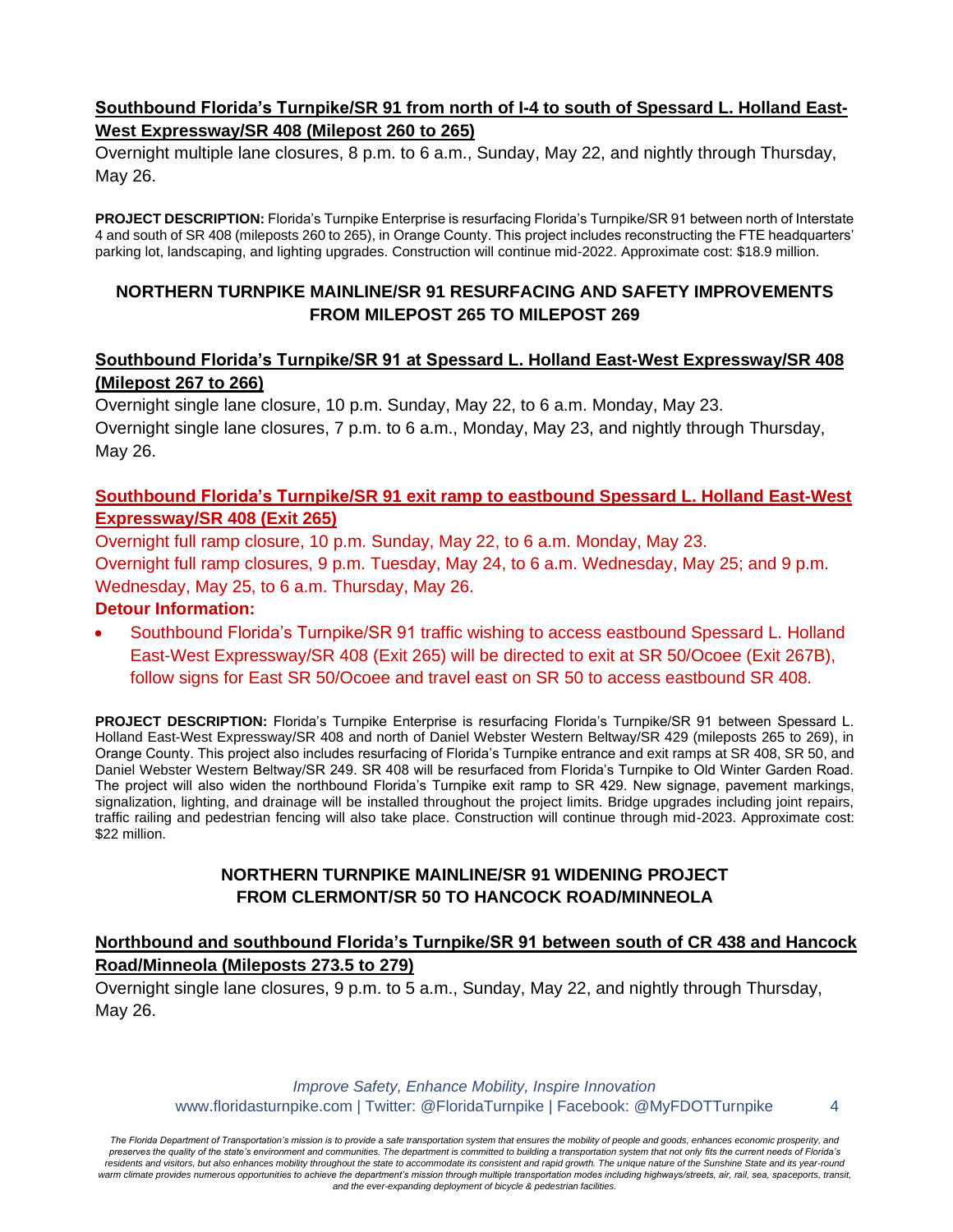# **Southbound Florida's Turnpike/SR 91 from north of I-4 to south of Spessard L. Holland East-West Expressway/SR 408 (Milepost 260 to 265)**

Overnight multiple lane closures, 8 p.m. to 6 a.m., Sunday, May 22, and nightly through Thursday, May 26.

**PROJECT DESCRIPTION:** Florida's Turnpike Enterprise is resurfacing Florida's Turnpike/SR 91 between north of Interstate 4 and south of SR 408 (mileposts 260 to 265), in Orange County. This project includes reconstructing the FTE headquarters' parking lot, landscaping, and lighting upgrades. Construction will continue mid-2022. Approximate cost: \$18.9 million.

# **NORTHERN TURNPIKE MAINLINE/SR 91 RESURFACING AND SAFETY IMPROVEMENTS FROM MILEPOST 265 TO MILEPOST 269**

# **Southbound Florida's Turnpike/SR 91 at Spessard L. Holland East-West Expressway/SR 408 (Milepost 267 to 266)**

Overnight single lane closure, 10 p.m. Sunday, May 22, to 6 a.m. Monday, May 23. Overnight single lane closures, 7 p.m. to 6 a.m., Monday, May 23, and nightly through Thursday, May 26.

# **Southbound Florida's Turnpike/SR 91 exit ramp to eastbound Spessard L. Holland East-West Expressway/SR 408 (Exit 265)**

Overnight full ramp closure, 10 p.m. Sunday, May 22, to 6 a.m. Monday, May 23. Overnight full ramp closures, 9 p.m. Tuesday, May 24, to 6 a.m. Wednesday, May 25; and 9 p.m. Wednesday, May 25, to 6 a.m. Thursday, May 26.

### **Detour Information:**

• Southbound Florida's Turnpike/SR 91 traffic wishing to access eastbound Spessard L. Holland East-West Expressway/SR 408 (Exit 265) will be directed to exit at SR 50/Ocoee (Exit 267B), follow signs for East SR 50/Ocoee and travel east on SR 50 to access eastbound SR 408.

**PROJECT DESCRIPTION:** Florida's Turnpike Enterprise is resurfacing Florida's Turnpike/SR 91 between Spessard L. Holland East-West Expressway/SR 408 and north of Daniel Webster Western Beltway/SR 429 (mileposts 265 to 269), in Orange County. This project also includes resurfacing of Florida's Turnpike entrance and exit ramps at SR 408, SR 50, and Daniel Webster Western Beltway/SR 249. SR 408 will be resurfaced from Florida's Turnpike to Old Winter Garden Road. The project will also widen the northbound Florida's Turnpike exit ramp to SR 429. New signage, pavement markings, signalization, lighting, and drainage will be installed throughout the project limits. Bridge upgrades including joint repairs, traffic railing and pedestrian fencing will also take place. Construction will continue through mid-2023. Approximate cost: \$22 million.

### **NORTHERN TURNPIKE MAINLINE/SR 91 WIDENING PROJECT FROM CLERMONT/SR 50 TO HANCOCK ROAD/MINNEOLA**

# **Northbound and southbound Florida's Turnpike/SR 91 between south of CR 438 and Hancock Road/Minneola (Mileposts 273.5 to 279)**

Overnight single lane closures, 9 p.m. to 5 a.m., Sunday, May 22, and nightly through Thursday, May 26.

> *Improve Safety, Enhance Mobility, Inspire Innovation* www.floridasturnpike.com | Twitter: @FloridaTurnpike | Facebook: @MyFDOTTurnpike 4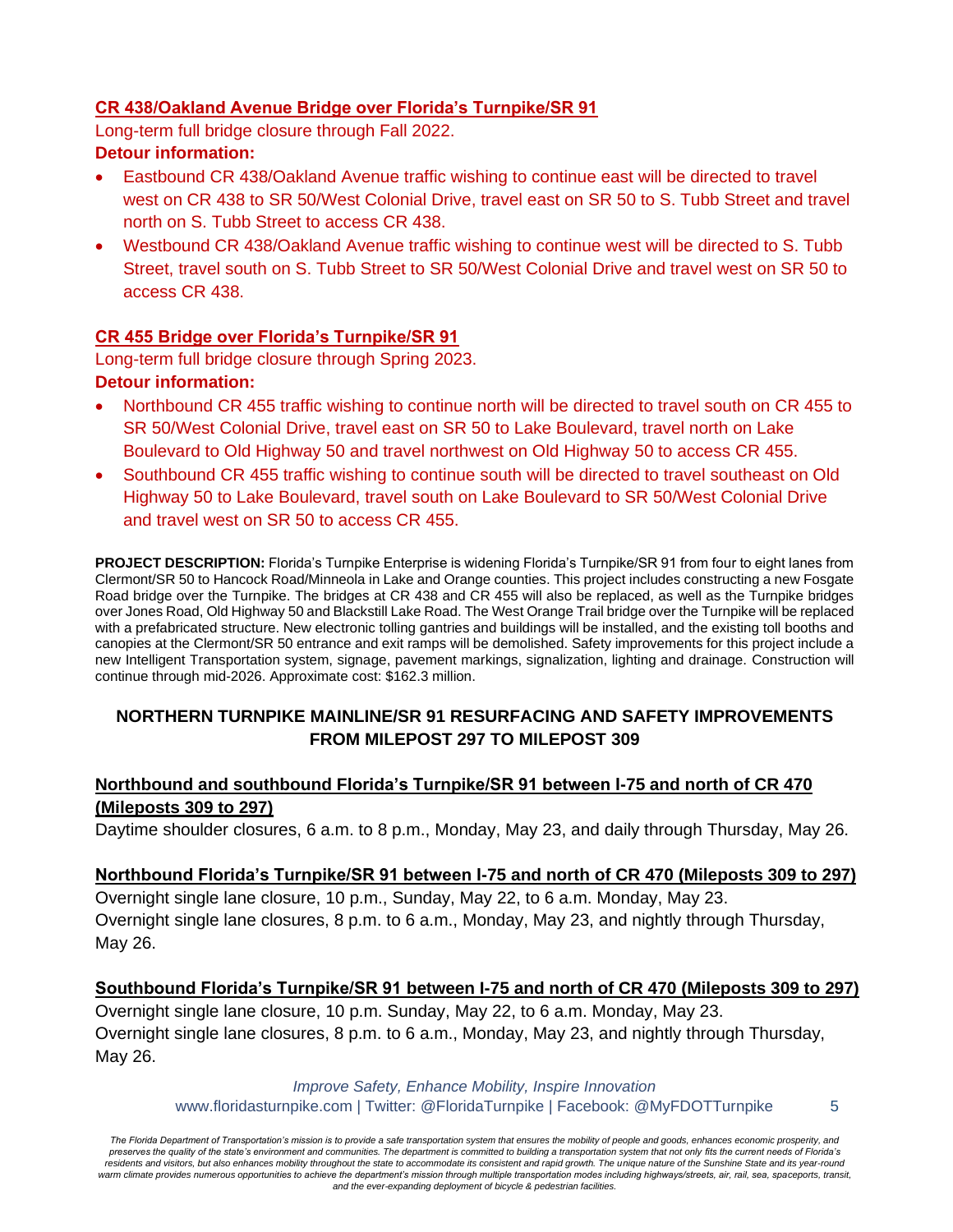# **CR 438/Oakland Avenue Bridge over Florida's Turnpike/SR 91**

Long-term full bridge closure through Fall 2022.

### **Detour information:**

- Eastbound CR 438/Oakland Avenue traffic wishing to continue east will be directed to travel west on CR 438 to SR 50/West Colonial Drive, travel east on SR 50 to S. Tubb Street and travel north on S. Tubb Street to access CR 438.
- Westbound CR 438/Oakland Avenue traffic wishing to continue west will be directed to S. Tubb Street, travel south on S. Tubb Street to SR 50/West Colonial Drive and travel west on SR 50 to access CR 438.

# **CR 455 Bridge over Florida's Turnpike/SR 91**

Long-term full bridge closure through Spring 2023.

#### **Detour information:**

- Northbound CR 455 traffic wishing to continue north will be directed to travel south on CR 455 to SR 50/West Colonial Drive, travel east on SR 50 to Lake Boulevard, travel north on Lake Boulevard to Old Highway 50 and travel northwest on Old Highway 50 to access CR 455.
- Southbound CR 455 traffic wishing to continue south will be directed to travel southeast on Old Highway 50 to Lake Boulevard, travel south on Lake Boulevard to SR 50/West Colonial Drive and travel west on SR 50 to access CR 455.

**PROJECT DESCRIPTION:** Florida's Turnpike Enterprise is widening Florida's Turnpike/SR 91 from four to eight lanes from Clermont/SR 50 to Hancock Road/Minneola in Lake and Orange counties. This project includes constructing a new Fosgate Road bridge over the Turnpike. The bridges at CR 438 and CR 455 will also be replaced, as well as the Turnpike bridges over Jones Road, Old Highway 50 and Blackstill Lake Road. The West Orange Trail bridge over the Turnpike will be replaced with a prefabricated structure. New electronic tolling gantries and buildings will be installed, and the existing toll booths and canopies at the Clermont/SR 50 entrance and exit ramps will be demolished. Safety improvements for this project include a new Intelligent Transportation system, signage, pavement markings, signalization, lighting and drainage. Construction will continue through mid-2026. Approximate cost: \$162.3 million.

# **NORTHERN TURNPIKE MAINLINE/SR 91 RESURFACING AND SAFETY IMPROVEMENTS FROM MILEPOST 297 TO MILEPOST 309**

# **Northbound and southbound Florida's Turnpike/SR 91 between I-75 and north of CR 470 (Mileposts 309 to 297)**

Daytime shoulder closures, 6 a.m. to 8 p.m., Monday, May 23, and daily through Thursday, May 26.

#### **Northbound Florida's Turnpike/SR 91 between I-75 and north of CR 470 (Mileposts 309 to 297)**

Overnight single lane closure, 10 p.m., Sunday, May 22, to 6 a.m. Monday, May 23. Overnight single lane closures, 8 p.m. to 6 a.m., Monday, May 23, and nightly through Thursday, May 26.

#### **Southbound Florida's Turnpike/SR 91 between I-75 and north of CR 470 (Mileposts 309 to 297)**

Overnight single lane closure, 10 p.m. Sunday, May 22, to 6 a.m. Monday, May 23. Overnight single lane closures, 8 p.m. to 6 a.m., Monday, May 23, and nightly through Thursday, May 26.

#### *Improve Safety, Enhance Mobility, Inspire Innovation* www.floridasturnpike.com | Twitter: @FloridaTurnpike | Facebook: @MyFDOTTurnpike 5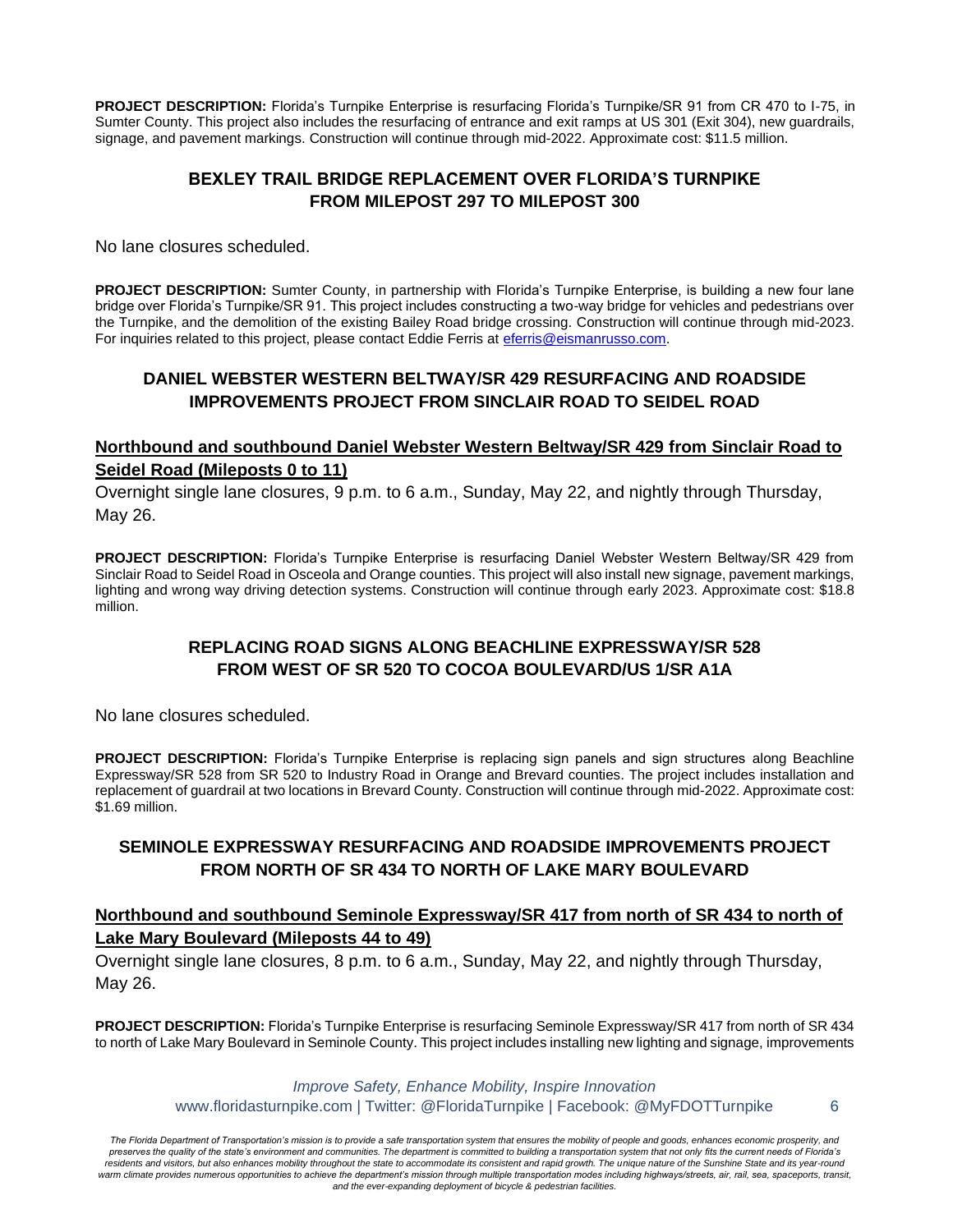**PROJECT DESCRIPTION:** Florida's Turnpike Enterprise is resurfacing Florida's Turnpike/SR 91 from CR 470 to I-75, in Sumter County. This project also includes the resurfacing of entrance and exit ramps at US 301 (Exit 304), new guardrails, signage, and pavement markings. Construction will continue through mid-2022. Approximate cost: \$11.5 million.

#### **BEXLEY TRAIL BRIDGE REPLACEMENT OVER FLORIDA'S TURNPIKE FROM MILEPOST 297 TO MILEPOST 300**

No lane closures scheduled.

**PROJECT DESCRIPTION:** Sumter County, in partnership with Florida's Turnpike Enterprise, is building a new four lane bridge over Florida's Turnpike/SR 91. This project includes constructing a two-way bridge for vehicles and pedestrians over the Turnpike, and the demolition of the existing Bailey Road bridge crossing. Construction will continue through mid-2023. For inquiries related to this project, please contact Eddie Ferris at [eferris@eismanrusso.com.](mailto:eferris@eismanrusso.com)

# **DANIEL WEBSTER WESTERN BELTWAY/SR 429 RESURFACING AND ROADSIDE IMPROVEMENTS PROJECT FROM SINCLAIR ROAD TO SEIDEL ROAD**

### **Northbound and southbound Daniel Webster Western Beltway/SR 429 from Sinclair Road to Seidel Road (Mileposts 0 to 11)**

Overnight single lane closures, 9 p.m. to 6 a.m., Sunday, May 22, and nightly through Thursday, May 26.

**PROJECT DESCRIPTION:** Florida's Turnpike Enterprise is resurfacing Daniel Webster Western Beltway/SR 429 from Sinclair Road to Seidel Road in Osceola and Orange counties. This project will also install new signage, pavement markings, lighting and wrong way driving detection systems. Construction will continue through early 2023. Approximate cost: \$18.8 million.

### **REPLACING ROAD SIGNS ALONG BEACHLINE EXPRESSWAY/SR 528 FROM WEST OF SR 520 TO COCOA BOULEVARD/US 1/SR A1A**

No lane closures scheduled.

**PROJECT DESCRIPTION:** Florida's Turnpike Enterprise is replacing sign panels and sign structures along Beachline Expressway/SR 528 from SR 520 to Industry Road in Orange and Brevard counties. The project includes installation and replacement of guardrail at two locations in Brevard County. Construction will continue through mid-2022. Approximate cost: \$1.69 million.

### **SEMINOLE EXPRESSWAY RESURFACING AND ROADSIDE IMPROVEMENTS PROJECT FROM NORTH OF SR 434 TO NORTH OF LAKE MARY BOULEVARD**

#### **Northbound and southbound Seminole Expressway/SR 417 from north of SR 434 to north of Lake Mary Boulevard (Mileposts 44 to 49)**

Overnight single lane closures, 8 p.m. to 6 a.m., Sunday, May 22, and nightly through Thursday, May 26.

**PROJECT DESCRIPTION:** Florida's Turnpike Enterprise is resurfacing Seminole Expressway/SR 417 from north of SR 434 to north of Lake Mary Boulevard in Seminole County. This project includes installing new lighting and signage, improvements

> *Improve Safety, Enhance Mobility, Inspire Innovation* www.floridasturnpike.com | Twitter: @FloridaTurnpike | Facebook: @MyFDOTTurnpike 6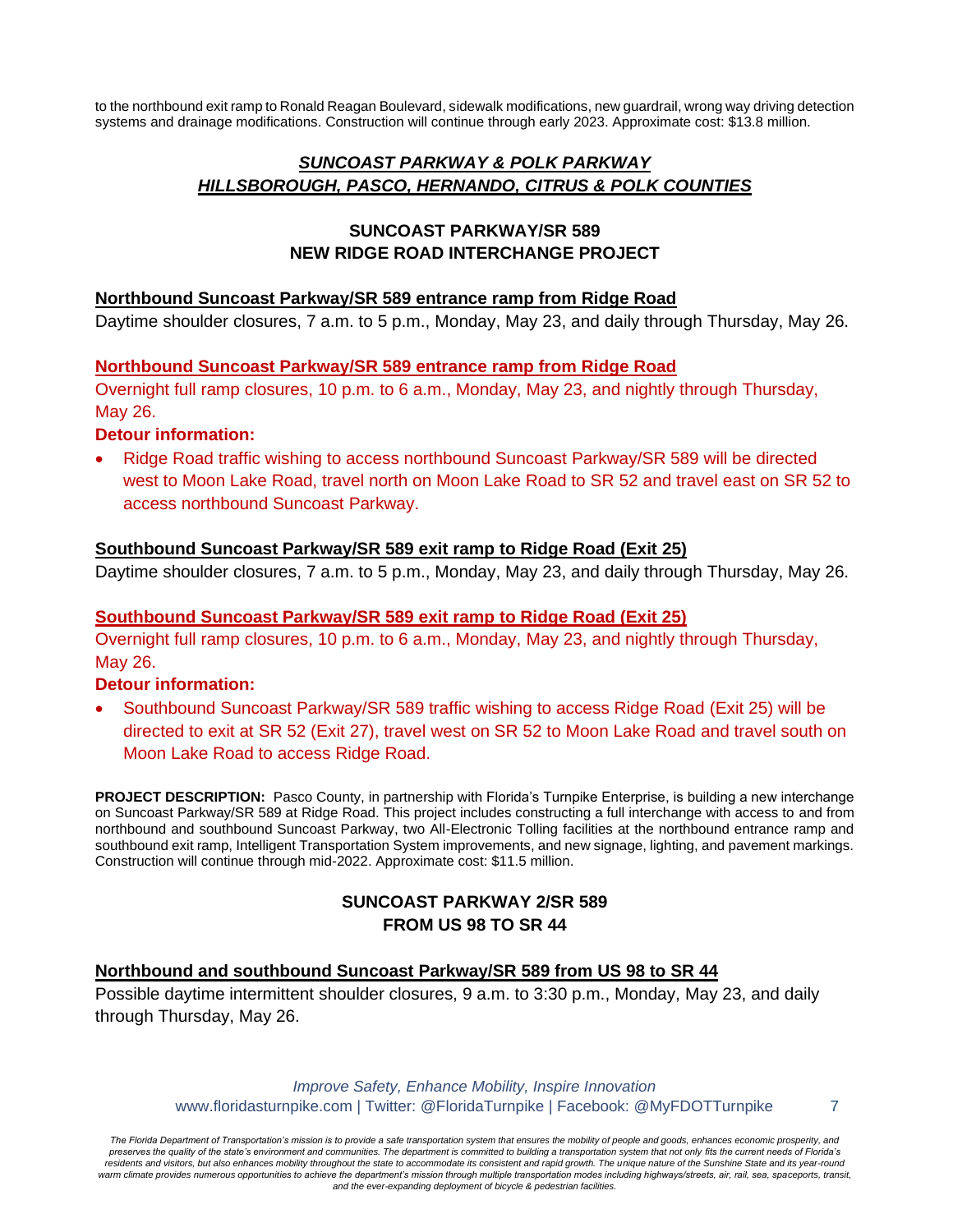to the northbound exit ramp to Ronald Reagan Boulevard, sidewalk modifications, new guardrail, wrong way driving detection systems and drainage modifications. Construction will continue through early 2023. Approximate cost: \$13.8 million.

# *SUNCOAST PARKWAY & POLK PARKWAY HILLSBOROUGH, PASCO, HERNANDO, CITRUS & POLK COUNTIES*

### **SUNCOAST PARKWAY/SR 589 NEW RIDGE ROAD INTERCHANGE PROJECT**

#### **Northbound Suncoast Parkway/SR 589 entrance ramp from Ridge Road**

Daytime shoulder closures, 7 a.m. to 5 p.m., Monday, May 23, and daily through Thursday, May 26.

#### **Northbound Suncoast Parkway/SR 589 entrance ramp from Ridge Road**

Overnight full ramp closures, 10 p.m. to 6 a.m., Monday, May 23, and nightly through Thursday, May 26.

#### **Detour information:**

• Ridge Road traffic wishing to access northbound Suncoast Parkway/SR 589 will be directed west to Moon Lake Road, travel north on Moon Lake Road to SR 52 and travel east on SR 52 to access northbound Suncoast Parkway.

#### **Southbound Suncoast Parkway/SR 589 exit ramp to Ridge Road (Exit 25)**

Daytime shoulder closures, 7 a.m. to 5 p.m., Monday, May 23, and daily through Thursday, May 26.

#### **Southbound Suncoast Parkway/SR 589 exit ramp to Ridge Road (Exit 25)**

Overnight full ramp closures, 10 p.m. to 6 a.m., Monday, May 23, and nightly through Thursday, May 26.

#### **Detour information:**

• Southbound Suncoast Parkway/SR 589 traffic wishing to access Ridge Road (Exit 25) will be directed to exit at SR 52 (Exit 27), travel west on SR 52 to Moon Lake Road and travel south on Moon Lake Road to access Ridge Road.

**PROJECT DESCRIPTION:** Pasco County, in partnership with Florida's Turnpike Enterprise, is building a new interchange on Suncoast Parkway/SR 589 at Ridge Road. This project includes constructing a full interchange with access to and from northbound and southbound Suncoast Parkway, two All-Electronic Tolling facilities at the northbound entrance ramp and southbound exit ramp, Intelligent Transportation System improvements, and new signage, lighting, and pavement markings. Construction will continue through mid-2022. Approximate cost: \$11.5 million.

# **SUNCOAST PARKWAY 2/SR 589 FROM US 98 TO SR 44**

#### **Northbound and southbound Suncoast Parkway/SR 589 from US 98 to SR 44**

Possible daytime intermittent shoulder closures, 9 a.m. to 3:30 p.m., Monday, May 23, and daily through Thursday, May 26.

> *Improve Safety, Enhance Mobility, Inspire Innovation* www.floridasturnpike.com | Twitter: @FloridaTurnpike | Facebook: @MyFDOTTurnpike 7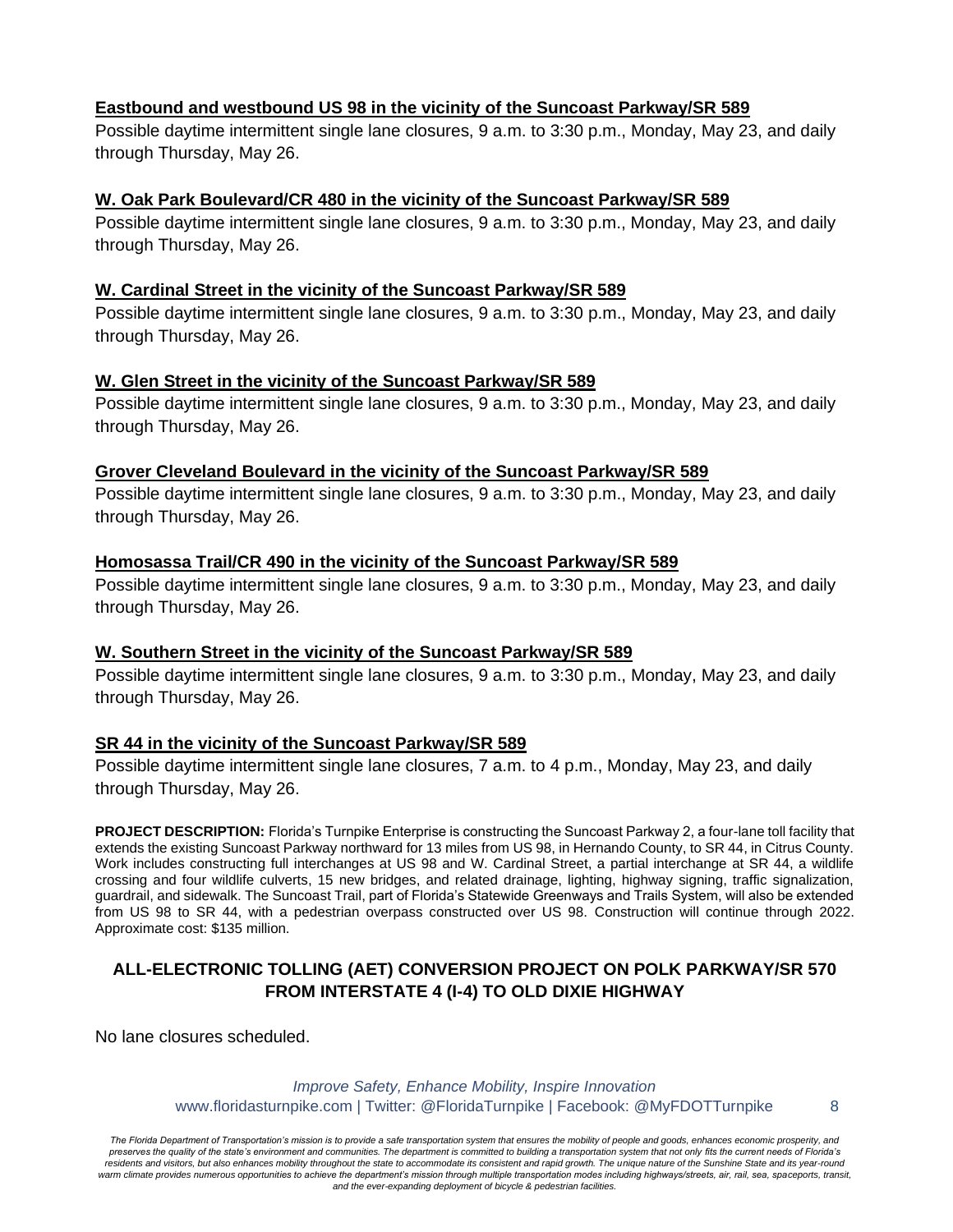#### **Eastbound and westbound US 98 in the vicinity of the Suncoast Parkway/SR 589**

Possible daytime intermittent single lane closures, 9 a.m. to 3:30 p.m., Monday, May 23, and daily through Thursday, May 26.

### **W. Oak Park Boulevard/CR 480 in the vicinity of the Suncoast Parkway/SR 589**

Possible daytime intermittent single lane closures, 9 a.m. to 3:30 p.m., Monday, May 23, and daily through Thursday, May 26.

### **W. Cardinal Street in the vicinity of the Suncoast Parkway/SR 589**

Possible daytime intermittent single lane closures, 9 a.m. to 3:30 p.m., Monday, May 23, and daily through Thursday, May 26.

### **W. Glen Street in the vicinity of the Suncoast Parkway/SR 589**

Possible daytime intermittent single lane closures, 9 a.m. to 3:30 p.m., Monday, May 23, and daily through Thursday, May 26.

### **Grover Cleveland Boulevard in the vicinity of the Suncoast Parkway/SR 589**

Possible daytime intermittent single lane closures, 9 a.m. to 3:30 p.m., Monday, May 23, and daily through Thursday, May 26.

#### **Homosassa Trail/CR 490 in the vicinity of the Suncoast Parkway/SR 589**

Possible daytime intermittent single lane closures, 9 a.m. to 3:30 p.m., Monday, May 23, and daily through Thursday, May 26.

#### **W. Southern Street in the vicinity of the Suncoast Parkway/SR 589**

Possible daytime intermittent single lane closures, 9 a.m. to 3:30 p.m., Monday, May 23, and daily through Thursday, May 26.

# **SR 44 in the vicinity of the Suncoast Parkway/SR 589**

Possible daytime intermittent single lane closures, 7 a.m. to 4 p.m., Monday, May 23, and daily through Thursday, May 26.

**PROJECT DESCRIPTION:** Florida's Turnpike Enterprise is constructing the Suncoast Parkway 2, a four-lane toll facility that extends the existing Suncoast Parkway northward for 13 miles from US 98, in Hernando County, to SR 44, in Citrus County. Work includes constructing full interchanges at US 98 and W. Cardinal Street, a partial interchange at SR 44, a wildlife crossing and four wildlife culverts, 15 new bridges, and related drainage, lighting, highway signing, traffic signalization, guardrail, and sidewalk. The Suncoast Trail, part of Florida's Statewide Greenways and Trails System, will also be extended from US 98 to SR 44, with a pedestrian overpass constructed over US 98. Construction will continue through 2022. Approximate cost: \$135 million.

# **ALL-ELECTRONIC TOLLING (AET) CONVERSION PROJECT ON POLK PARKWAY/SR 570 FROM INTERSTATE 4 (I-4) TO OLD DIXIE HIGHWAY**

No lane closures scheduled.

#### *Improve Safety, Enhance Mobility, Inspire Innovation* www.floridasturnpike.com | Twitter: @FloridaTurnpike | Facebook: @MyFDOTTurnpike 8